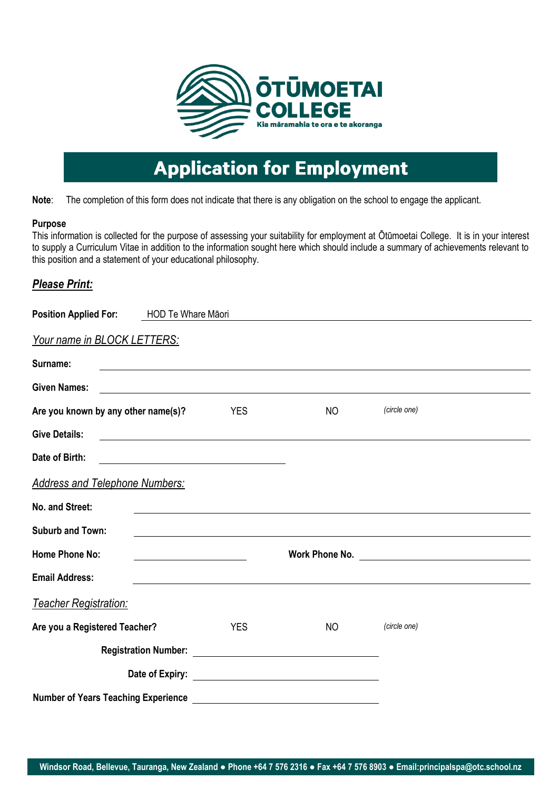

# **Application for Employment**

**Note**: The completion of this form does not indicate that there is any obligation on the school to engage the applicant.

### **Purpose**

This information is collected for the purpose of assessing your suitability for employment at Ōtūmoetai College. It is in your interest to supply a Curriculum Vitae in addition to the information sought here which should include a summary of achievements relevant to this position and a statement of your educational philosophy.

## *Please Print:*

| Position Applied For: HOD Te Whare Māori |                                                                                                                        |                |                                               |  |
|------------------------------------------|------------------------------------------------------------------------------------------------------------------------|----------------|-----------------------------------------------|--|
| <b>Your name in BLOCK LETTERS:</b>       |                                                                                                                        |                |                                               |  |
| Surname:                                 |                                                                                                                        |                |                                               |  |
| <b>Given Names:</b>                      | <u> 1989 - Johann Stoff, deutscher Stoffen und der Stoffen und der Stoffen und der Stoffen und der Stoffen und der</u> |                |                                               |  |
| Are you known by any other name(s)?      | <b>YES</b>                                                                                                             | NO             | (circle one)                                  |  |
| <b>Give Details:</b>                     |                                                                                                                        |                |                                               |  |
| Date of Birth:                           | <u> 1980 - Johann Barn, mars ann an t-Amhain Aonaich an t-Aonaich an t-Aonaich ann an t-Aonaich ann an t-Aonaich</u>   |                |                                               |  |
| <b>Address and Telephone Numbers:</b>    |                                                                                                                        |                |                                               |  |
| No. and Street:                          |                                                                                                                        |                |                                               |  |
| <b>Suburb and Town:</b>                  |                                                                                                                        |                |                                               |  |
| <b>Home Phone No:</b>                    |                                                                                                                        | Work Phone No. | <u> 1989 - Johann Stein, fransk politik (</u> |  |
| <b>Email Address:</b>                    |                                                                                                                        |                |                                               |  |
| <b>Teacher Registration:</b>             |                                                                                                                        |                |                                               |  |
| Are you a Registered Teacher?            | <b>YES</b>                                                                                                             | <b>NO</b>      | (circle one)                                  |  |
|                                          |                                                                                                                        |                |                                               |  |
|                                          |                                                                                                                        |                |                                               |  |
|                                          |                                                                                                                        |                |                                               |  |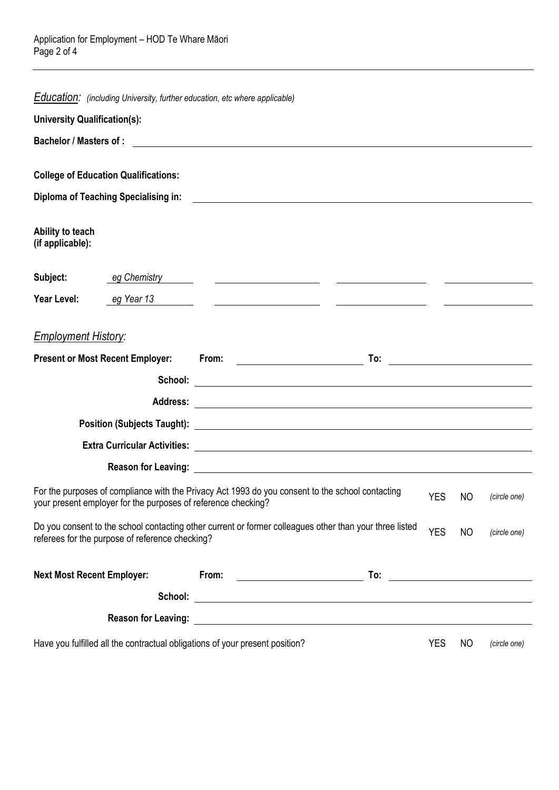| Education: (including University, further education, etc where applicable)   |                                                                                                                                                                                                                                               |            |    |              |
|------------------------------------------------------------------------------|-----------------------------------------------------------------------------------------------------------------------------------------------------------------------------------------------------------------------------------------------|------------|----|--------------|
| <b>University Qualification(s):</b>                                          |                                                                                                                                                                                                                                               |            |    |              |
|                                                                              |                                                                                                                                                                                                                                               |            |    |              |
| <b>College of Education Qualifications:</b>                                  |                                                                                                                                                                                                                                               |            |    |              |
|                                                                              |                                                                                                                                                                                                                                               |            |    |              |
| <b>Diploma of Teaching Specialising in:</b>                                  | <u> 1989 - Johann John Stein, markin fan it fjort fan it fjort fan it fjort fan it fjort fan it fjort fan it fjort </u>                                                                                                                       |            |    |              |
| Ability to teach<br>(if applicable):                                         |                                                                                                                                                                                                                                               |            |    |              |
| Subject:<br>eg Chemistry <b>compared to the compare</b>                      |                                                                                                                                                                                                                                               |            |    |              |
| Year Level:<br>eg Year 13                                                    |                                                                                                                                                                                                                                               |            |    |              |
| <b>Employment History:</b><br><b>Present or Most Recent Employer:</b>        | <b>To:</b> the contract of the contract of the contract of the contract of the contract of the contract of the contract of the contract of the contract of the contract of the contract of the contract of the contract of the cont           |            |    |              |
|                                                                              |                                                                                                                                                                                                                                               |            |    |              |
|                                                                              | School: Example 2014 and 2014 and 2014 and 2014 and 2014 and 2014 and 2014 and 2014 and 2014 and 2014 and 2014                                                                                                                                |            |    |              |
|                                                                              |                                                                                                                                                                                                                                               |            |    |              |
|                                                                              |                                                                                                                                                                                                                                               |            |    |              |
|                                                                              |                                                                                                                                                                                                                                               |            |    |              |
|                                                                              |                                                                                                                                                                                                                                               |            |    |              |
| your present employer for the purposes of reference checking?                | For the purposes of compliance with the Privacy Act 1993 do you consent to the school contacting                                                                                                                                              | <b>YES</b> | NO | (circle one) |
| referees for the purpose of reference checking?                              | Do you consent to the school contacting other current or former colleagues other than your three listed                                                                                                                                       | <b>YES</b> | NO | (circle one) |
| <b>Next Most Recent Employer:</b>                                            | From:<br><u> The Common State of the Common State of the Common State of the Common State of the Common State of the Common State of the Common State of the Common State of the Common State of the Common State of the Common State of </u> |            |    |              |
|                                                                              |                                                                                                                                                                                                                                               |            |    |              |
|                                                                              |                                                                                                                                                                                                                                               |            |    |              |
| Have you fulfilled all the contractual obligations of your present position? |                                                                                                                                                                                                                                               |            |    | (circle one) |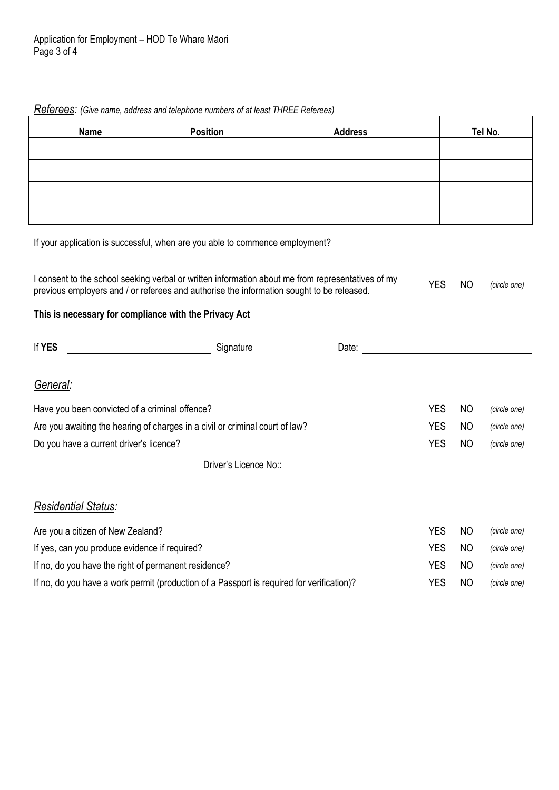*Referees: (Give name, address and telephone numbers of at least THREE Referees)*

| <b>Name</b>                                                                                                                                                                                                                    | <b>Position</b><br><b>Address</b> |                                                                                                                                                                                                                                | Tel No.    |                |              |  |  |
|--------------------------------------------------------------------------------------------------------------------------------------------------------------------------------------------------------------------------------|-----------------------------------|--------------------------------------------------------------------------------------------------------------------------------------------------------------------------------------------------------------------------------|------------|----------------|--------------|--|--|
|                                                                                                                                                                                                                                |                                   |                                                                                                                                                                                                                                |            |                |              |  |  |
|                                                                                                                                                                                                                                |                                   |                                                                                                                                                                                                                                |            |                |              |  |  |
|                                                                                                                                                                                                                                |                                   |                                                                                                                                                                                                                                |            |                |              |  |  |
|                                                                                                                                                                                                                                |                                   |                                                                                                                                                                                                                                |            |                |              |  |  |
| If your application is successful, when are you able to commence employment?                                                                                                                                                   |                                   |                                                                                                                                                                                                                                |            |                |              |  |  |
| I consent to the school seeking verbal or written information about me from representatives of my<br><b>YES</b><br><b>NO</b><br>previous employers and / or referees and authorise the information sought to be released.      |                                   |                                                                                                                                                                                                                                |            |                |              |  |  |
| This is necessary for compliance with the Privacy Act                                                                                                                                                                          |                                   |                                                                                                                                                                                                                                |            |                |              |  |  |
| If YES                                                                                                                                                                                                                         | Signature Signature               | Date: the contract of the contract of the contract of the contract of the contract of the contract of the contract of the contract of the contract of the contract of the contract of the contract of the contract of the cont |            |                |              |  |  |
| General:                                                                                                                                                                                                                       |                                   |                                                                                                                                                                                                                                |            |                |              |  |  |
| Have you been convicted of a criminal offence?<br><b>YES</b><br>NO<br>(circle one)                                                                                                                                             |                                   |                                                                                                                                                                                                                                |            |                |              |  |  |
| <b>YES</b><br>Are you awaiting the hearing of charges in a civil or criminal court of law?                                                                                                                                     |                                   |                                                                                                                                                                                                                                |            |                | (circle one) |  |  |
| <b>YES</b><br>Do you have a current driver's licence?                                                                                                                                                                          |                                   |                                                                                                                                                                                                                                |            |                | (circle one) |  |  |
| Driver's Licence No:: Note that the state of the state of the state of the state of the state of the state of the state of the state of the state of the state of the state of the state of the state of the state of the stat |                                   |                                                                                                                                                                                                                                |            |                |              |  |  |
| <b>Residential Status:</b>                                                                                                                                                                                                     |                                   |                                                                                                                                                                                                                                |            |                |              |  |  |
| Are you a citizen of New Zealand?<br><b>YES</b><br>NO<br>(circle one)                                                                                                                                                          |                                   |                                                                                                                                                                                                                                |            |                |              |  |  |
| <b>YES</b><br>If yes, can you produce evidence if required?<br>NO.<br>(circle one)                                                                                                                                             |                                   |                                                                                                                                                                                                                                |            |                |              |  |  |
| If no, do you have the right of permanent residence?                                                                                                                                                                           |                                   |                                                                                                                                                                                                                                | <b>YES</b> | N <sub>O</sub> | (circle one) |  |  |
| If no, do you have a work permit (production of a Passport is required for verification)?                                                                                                                                      | <b>YES</b><br>NO                  | (circle one)                                                                                                                                                                                                                   |            |                |              |  |  |